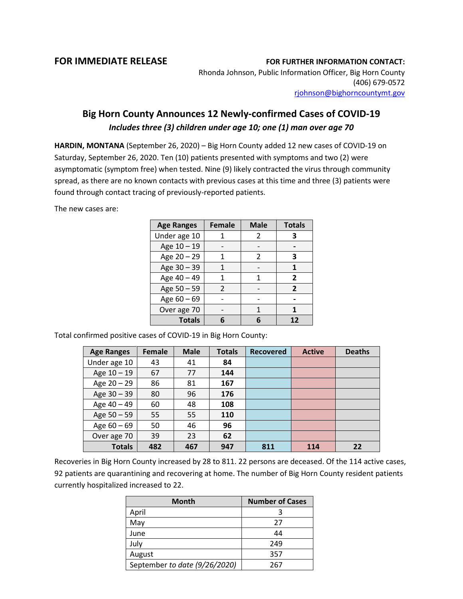## **FOR IMMEDIATE RELEASE FOR FURTHER INFORMATION CONTACT:**

Rhonda Johnson, Public Information Officer, Big Horn County (406) 679-0572 [rjohnson@bighorncountymt.gov](mailto:rjohnson@bighorncountymt.gov)

## **Big Horn County Announces 12 Newly-confirmed Cases of COVID-19** *Includes three (3) children under age 10; one (1) man over age 70*

**HARDIN, MONTANA** (September 26, 2020) – Big Horn County added 12 new cases of COVID-19 on Saturday, September 26, 2020. Ten (10) patients presented with symptoms and two (2) were asymptomatic (symptom free) when tested. Nine (9) likely contracted the virus through community spread, as there are no known contacts with previous cases at this time and three (3) patients were found through contact tracing of previously-reported patients.

The new cases are:

| <b>Age Ranges</b> | <b>Female</b> | <b>Male</b>   | <b>Totals</b>  |
|-------------------|---------------|---------------|----------------|
| Under age 10      |               | 2             | З              |
| Age 10 - 19       |               |               |                |
| Age 20 - 29       | 1             | $\mathcal{P}$ | 3              |
| Age 30 - 39       |               |               | 1              |
| Age 40 - 49       | 1             | 1             | $\overline{2}$ |
| Age 50 - 59       | $\mathcal{P}$ |               | $\overline{2}$ |
| Age $60 - 69$     |               |               |                |
| Over age 70       |               |               |                |
| <b>Totals</b>     |               | հ             | 12             |

Total confirmed positive cases of COVID-19 in Big Horn County:

| <b>Age Ranges</b> | <b>Female</b> | <b>Male</b> | <b>Totals</b> | <b>Recovered</b> | <b>Active</b> | <b>Deaths</b> |
|-------------------|---------------|-------------|---------------|------------------|---------------|---------------|
| Under age 10      | 43            | 41          | 84            |                  |               |               |
| Age 10 - 19       | 67            | 77          | 144           |                  |               |               |
| Age 20 - 29       | 86            | 81          | 167           |                  |               |               |
| Age 30 - 39       | 80            | 96          | 176           |                  |               |               |
| Age 40 - 49       | 60            | 48          | 108           |                  |               |               |
| Age 50 - 59       | 55            | 55          | 110           |                  |               |               |
| Age 60 - 69       | 50            | 46          | 96            |                  |               |               |
| Over age 70       | 39            | 23          | 62            |                  |               |               |
| <b>Totals</b>     | 482           | 467         | 947           | 811              | 114           | 22            |

Recoveries in Big Horn County increased by 28 to 811. 22 persons are deceased. Of the 114 active cases, 92 patients are quarantining and recovering at home. The number of Big Horn County resident patients currently hospitalized increased to 22.

| <b>Month</b>                  | <b>Number of Cases</b> |  |  |
|-------------------------------|------------------------|--|--|
| April                         |                        |  |  |
| May                           | 27                     |  |  |
| June                          | 44                     |  |  |
| July                          | 249                    |  |  |
| August                        | 357                    |  |  |
| September to date (9/26/2020) | 267                    |  |  |